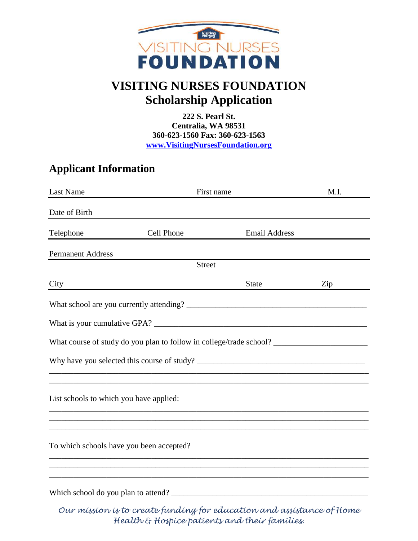

## **VISITING NURSES FOUNDATION Scholarship Application**

**222 S. Pearl St. Centralia, WA 98531 360-623-1560 Fax: 360-623-1563 [www.VisitingNursesFoundation.org](http://www.visitingnursesfoundation.org/)**

## **Applicant Information**

| Last Name                               | First name                                                                        |                      | M.I. |  |  |
|-----------------------------------------|-----------------------------------------------------------------------------------|----------------------|------|--|--|
| Date of Birth                           |                                                                                   |                      |      |  |  |
| Telephone                               | Cell Phone                                                                        | <b>Email Address</b> |      |  |  |
| <b>Permanent Address</b>                |                                                                                   |                      |      |  |  |
| <b>Street</b>                           |                                                                                   |                      |      |  |  |
| City                                    |                                                                                   | <b>State</b>         | Zip  |  |  |
|                                         |                                                                                   |                      |      |  |  |
|                                         |                                                                                   |                      |      |  |  |
|                                         |                                                                                   |                      |      |  |  |
|                                         |                                                                                   |                      |      |  |  |
| List schools to which you have applied: |                                                                                   |                      |      |  |  |
|                                         | ,我们也不会有什么。""我们的人,我们也不会有什么?""我们的人,我们也不会有什么?""我们的人,我们也不会有什么?""我们的人,我们也不会有什么?""我们的人  |                      |      |  |  |
|                                         | To which schools have you been accepted?                                          |                      |      |  |  |
|                                         | ,我们也不能在这里的时候,我们也不能在这里的时候,我们也不能会在这里的时候,我们也不能会在这里的时候,我们也不能会在这里的时候,我们也不能会在这里的时候,我们也不 |                      |      |  |  |
|                                         | Which school do you plan to attend?                                               |                      |      |  |  |

*Our mission is to create funding for education and assistance of Home Health & Hospice patients and their families.*